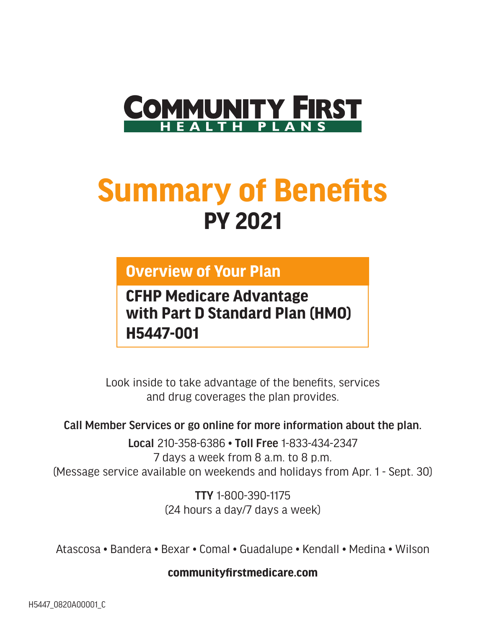

# **Summary of Benefits PY 2021**

### **Overview of Your Plan**

**CFHP Medicare Advantage with Part D Standard Plan (HMO) H5447-001**

Look inside to take advantage of the benefits, services and drug coverages the plan provides.

### Call Member Services or go online for more information about the plan.

Local 210-358-6386 • Toll Free 1-833-434-2347 7 days a week from 8 a.m. to 8 p.m. (Message service available on weekends and holidays from Apr. 1 - Sept. 30)

> TTY 1-800-390-1175 (24 hours a day/7 days a week)

Atascosa • Bandera • Bexar • Comal • Guadalupe • Kendall • Medina • Wilson

### **[communityfirstmedicare.com](https://communityfirstmedicare.com)**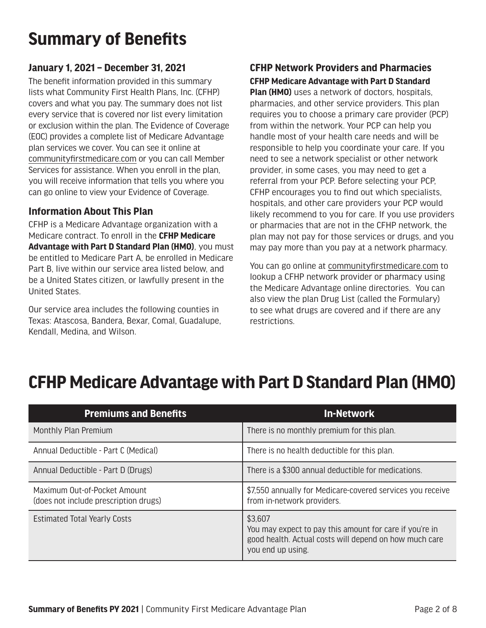# **Summary of Benefits**

### **January 1, 2021 – December 31, 2021**

The benefit information provided in this summary lists what Community First Health Plans, Inc. (CFHP) covers and what you pay. The summary does not list every service that is covered nor list every limitation or exclusion within the plan. The Evidence of Coverage (EOC) provides a complete list of Medicare Advantage plan services we cover. You can see it online at [communityfirstmedicare.com](https://communityfirstmedicare.com/) or you can call Member Services for assistance. When you enroll in the plan, you will receive information that tells you where you can go online to view your Evidence of Coverage.

#### **Information About This Plan**

CFHP is a Medicare Advantage organization with a Medicare contract. To enroll in the **CFHP Medicare Advantage with Part D Standard Plan (HMO)**, you must be entitled to Medicare Part A, be enrolled in Medicare Part B, live within our service area listed below, and be a United States citizen, or lawfully present in the United States.

Our service area includes the following counties in Texas: Atascosa, Bandera, Bexar, Comal, Guadalupe, Kendall, Medina, and Wilson.

#### **CFHP Network Providers and Pharmacies CFHP Medicare Advantage with Part D Standard**

**Plan (HMO)** uses a network of doctors, hospitals, pharmacies, and other service providers. This plan requires you to choose a primary care provider (PCP) from within the network. Your PCP can help you handle most of your health care needs and will be responsible to help you coordinate your care. If you need to see a network specialist or other network provider, in some cases, you may need to get a referral from your PCP. Before selecting your PCP, CFHP encourages you to find out which specialists, hospitals, and other care providers your PCP would likely recommend to you for care. If you use providers or pharmacies that are not in the CFHP network, the plan may not pay for those services or drugs, and you may pay more than you pay at a network pharmacy.

You can go online at [communityfirstmedicare.com](https://communityfirstmedicare.com/) to lookup a CFHP network provider or pharmacy using the Medicare Advantage online directories. You can also view the plan Drug List (called the Formulary) to see what drugs are covered and if there are any restrictions.

### **CFHP Medicare Advantage with Part D Standard Plan (HMO)**

| <b>Premiums and Benefits</b>                                          | <b>In-Network</b>                                                                                                                                 |
|-----------------------------------------------------------------------|---------------------------------------------------------------------------------------------------------------------------------------------------|
| Monthly Plan Premium                                                  | There is no monthly premium for this plan.                                                                                                        |
| Annual Deductible - Part C (Medical)                                  | There is no health deductible for this plan.                                                                                                      |
| Annual Deductible - Part D (Drugs)                                    | There is a \$300 annual deductible for medications.                                                                                               |
| Maximum Out-of-Pocket Amount<br>(does not include prescription drugs) | \$7,550 annually for Medicare-covered services you receive<br>from in-network providers.                                                          |
| <b>Estimated Total Yearly Costs</b>                                   | \$3,607<br>You may expect to pay this amount for care if you're in<br>good health. Actual costs will depend on how much care<br>you end up using. |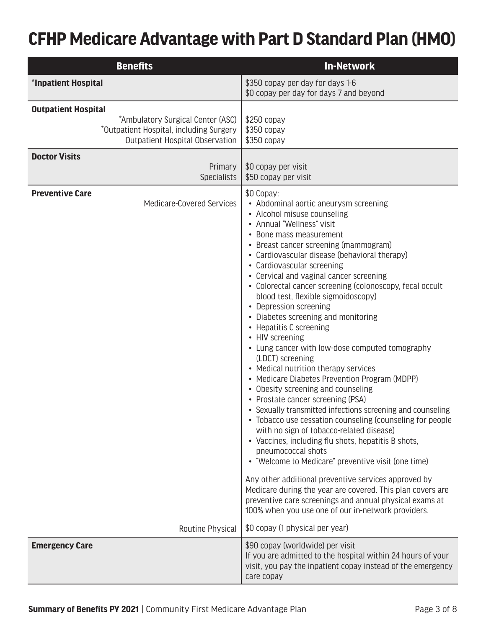## **CFHP Medicare Advantage with Part D Standard Plan (HMO)**

|                            | <b>Benefits</b>                                                                                                 | <b>In-Network</b>                                                                                                                                                                                                                                                                                                                                                                                                                                                                                                                                                                                                                                                                                                                                                                                                                                                                                                                                                                                                                                                                                                                                                                                                                                                                                                          |
|----------------------------|-----------------------------------------------------------------------------------------------------------------|----------------------------------------------------------------------------------------------------------------------------------------------------------------------------------------------------------------------------------------------------------------------------------------------------------------------------------------------------------------------------------------------------------------------------------------------------------------------------------------------------------------------------------------------------------------------------------------------------------------------------------------------------------------------------------------------------------------------------------------------------------------------------------------------------------------------------------------------------------------------------------------------------------------------------------------------------------------------------------------------------------------------------------------------------------------------------------------------------------------------------------------------------------------------------------------------------------------------------------------------------------------------------------------------------------------------------|
| *Inpatient Hospital        |                                                                                                                 | \$350 copay per day for days 1-6<br>\$0 copay per day for days 7 and beyond                                                                                                                                                                                                                                                                                                                                                                                                                                                                                                                                                                                                                                                                                                                                                                                                                                                                                                                                                                                                                                                                                                                                                                                                                                                |
| <b>Outpatient Hospital</b> | *Ambulatory Surgical Center (ASC)<br>*Outpatient Hospital, including Surgery<br>Outpatient Hospital Observation | \$250 copay<br>$$350$ copay<br>\$350 copay                                                                                                                                                                                                                                                                                                                                                                                                                                                                                                                                                                                                                                                                                                                                                                                                                                                                                                                                                                                                                                                                                                                                                                                                                                                                                 |
| <b>Doctor Visits</b>       | Primary<br><b>Specialists</b>                                                                                   | \$0 copay per visit<br>\$50 copay per visit                                                                                                                                                                                                                                                                                                                                                                                                                                                                                                                                                                                                                                                                                                                                                                                                                                                                                                                                                                                                                                                                                                                                                                                                                                                                                |
| <b>Preventive Care</b>     | Medicare-Covered Services                                                                                       | \$0 Copay:<br>• Abdominal aortic aneurysm screening<br>• Alcohol misuse counseling<br>• Annual "Wellness" visit<br>• Bone mass measurement<br>• Breast cancer screening (mammogram)<br>• Cardiovascular disease (behavioral therapy)<br>• Cardiovascular screening<br>• Cervical and vaginal cancer screening<br>• Colorectal cancer screening (colonoscopy, fecal occult<br>blood test, flexible sigmoidoscopy)<br>• Depression screening<br>• Diabetes screening and monitoring<br>• Hepatitis C screening<br>• HIV screening<br>• Lung cancer with low-dose computed tomography<br>(LDCT) screening<br>• Medical nutrition therapy services<br>• Medicare Diabetes Prevention Program (MDPP)<br>• Obesity screening and counseling<br>• Prostate cancer screening (PSA)<br>Sexually transmitted infections screening and counseling<br>• Tobacco use cessation counseling (counseling for people<br>with no sign of tobacco-related disease)<br>• Vaccines, including flu shots, hepatitis B shots,<br>pneumococcal shots<br>• "Welcome to Medicare" preventive visit (one time)<br>Any other additional preventive services approved by<br>Medicare during the year are covered. This plan covers are<br>preventive care screenings and annual physical exams at<br>100% when you use one of our in-network providers. |
|                            | Routine Physical                                                                                                | \$0 copay (1 physical per year)                                                                                                                                                                                                                                                                                                                                                                                                                                                                                                                                                                                                                                                                                                                                                                                                                                                                                                                                                                                                                                                                                                                                                                                                                                                                                            |
| <b>Emergency Care</b>      |                                                                                                                 | \$90 copay (worldwide) per visit<br>If you are admitted to the hospital within 24 hours of your<br>visit, you pay the inpatient copay instead of the emergency<br>care copay                                                                                                                                                                                                                                                                                                                                                                                                                                                                                                                                                                                                                                                                                                                                                                                                                                                                                                                                                                                                                                                                                                                                               |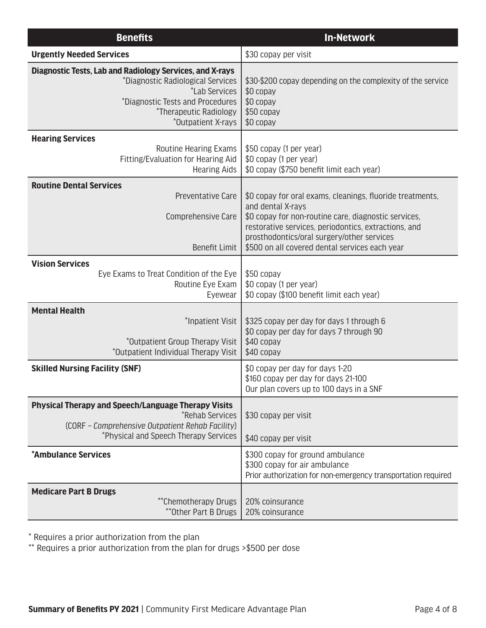| <b>Benefits</b>                                                                                                                                                                                           | <b>In-Network</b>                                                                                                                                                                                                                                                                              |  |  |  |
|-----------------------------------------------------------------------------------------------------------------------------------------------------------------------------------------------------------|------------------------------------------------------------------------------------------------------------------------------------------------------------------------------------------------------------------------------------------------------------------------------------------------|--|--|--|
| <b>Urgently Needed Services</b>                                                                                                                                                                           | \$30 copay per visit                                                                                                                                                                                                                                                                           |  |  |  |
| <b>Diagnostic Tests, Lab and Radiology Services, and X-rays</b><br>*Diagnostic Radiological Services<br>*Lab Services<br>*Diagnostic Tests and Procedures<br>*Therapeutic Radiology<br>*Outpatient X-rays | \$30-\$200 copay depending on the complexity of the service<br>\$0 copay<br>\$0 copay<br>\$50 copay<br>\$0 copay                                                                                                                                                                               |  |  |  |
| <b>Hearing Services</b><br>Routine Hearing Exams<br>Fitting/Evaluation for Hearing Aid<br><b>Hearing Aids</b>                                                                                             | \$50 copay (1 per year)<br>\$0 copay (1 per year)<br>\$0 copay (\$750 benefit limit each year)                                                                                                                                                                                                 |  |  |  |
| <b>Routine Dental Services</b><br>Preventative Care<br>Comprehensive Care<br><b>Benefit Limit</b>                                                                                                         | \$0 copay for oral exams, cleanings, fluoride treatments,<br>and dental X-rays<br>\$0 copay for non-routine care, diagnostic services,<br>restorative services, periodontics, extractions, and<br>prosthodontics/oral surgery/other services<br>\$500 on all covered dental services each year |  |  |  |
| <b>Vision Services</b><br>Eye Exams to Treat Condition of the Eye<br>Routine Eye Exam<br>Eyewear                                                                                                          | \$50 copay<br>\$0 copay (1 per year)<br>\$0 copay (\$100 benefit limit each year)                                                                                                                                                                                                              |  |  |  |
| <b>Mental Health</b><br>*Inpatient Visit<br>*Outpatient Group Therapy Visit<br>*Outpatient Individual Therapy Visit                                                                                       | \$325 copay per day for days 1 through 6<br>\$0 copay per day for days 7 through 90<br>\$40 copay<br>\$40 copay                                                                                                                                                                                |  |  |  |
| <b>Skilled Nursing Facility (SNF)</b>                                                                                                                                                                     | \$0 copay per day for days 1-20<br>\$160 copay per day for days 21-100<br>Our plan covers up to 100 days in a SNF                                                                                                                                                                              |  |  |  |
| <b>Physical Therapy and Speech/Language Therapy Visits</b><br>*Rehab Services<br>(CORF - Comprehensive Outpatient Rehab Facility)<br>*Physical and Speech Therapy Services                                | \$30 copay per visit<br>\$40 copay per visit                                                                                                                                                                                                                                                   |  |  |  |
| *Ambulance Services                                                                                                                                                                                       | \$300 copay for ground ambulance<br>\$300 copay for air ambulance<br>Prior authorization for non-emergency transportation required                                                                                                                                                             |  |  |  |
| <b>Medicare Part B Drugs</b><br>**Chemotherapy Drugs<br>**Other Part B Drugs                                                                                                                              | 20% coinsurance<br>20% coinsurance                                                                                                                                                                                                                                                             |  |  |  |

\* Requires a prior authorization from the plan

\*\* Requires a prior authorization from the plan for drugs >\$500 per dose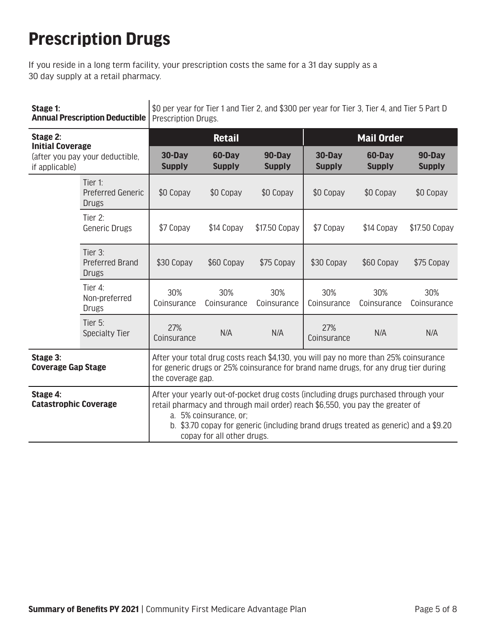# **Prescription Drugs**

If you reside in a long term facility, your prescription costs the same for a 31 day supply as a 30 day supply at a retail pharmacy.

| Stage 1:                                                                                 | <b>Annual Prescription Deductible</b>               | \$0 per year for Tier 1 and Tier 2, and \$300 per year for Tier 3, Tier 4, and Tier 5 Part D<br>Prescription Drugs.                                                                                                                                                                                                |                         |                         |                         |                         |                         |
|------------------------------------------------------------------------------------------|-----------------------------------------------------|--------------------------------------------------------------------------------------------------------------------------------------------------------------------------------------------------------------------------------------------------------------------------------------------------------------------|-------------------------|-------------------------|-------------------------|-------------------------|-------------------------|
| Stage 2:<br><b>Initial Coverage</b><br>(after you pay your deductible,<br>if applicable) |                                                     | <b>Retail</b>                                                                                                                                                                                                                                                                                                      |                         |                         | <b>Mail Order</b>       |                         |                         |
|                                                                                          |                                                     | 30-Day<br><b>Supply</b>                                                                                                                                                                                                                                                                                            | 60-Day<br><b>Supply</b> | 90-Day<br><b>Supply</b> | 30-Day<br><b>Supply</b> | 60-Day<br><b>Supply</b> | 90-Day<br><b>Supply</b> |
|                                                                                          | Tier 1:<br><b>Preferred Generic</b><br><b>Drugs</b> | \$0 Copay                                                                                                                                                                                                                                                                                                          | \$0 Copay               | \$0 Copay               | \$0 Copay               | \$0 Copay               | \$0 Copay               |
|                                                                                          | Tier $2$ :<br><b>Generic Drugs</b>                  | \$7 Copay                                                                                                                                                                                                                                                                                                          | \$14 Copay              | \$17.50 Copay           | \$7 Copay               | \$14 Copay              | \$17.50 Copay           |
|                                                                                          | Tier 3:<br><b>Preferred Brand</b><br><b>Drugs</b>   | \$30 Copay                                                                                                                                                                                                                                                                                                         | \$60 Copay              | \$75 Copay              | \$30 Copay              | \$60 Copay              | \$75 Copay              |
|                                                                                          | Tier 4:<br>Non-preferred<br><b>Drugs</b>            | 30%<br>Coinsurance                                                                                                                                                                                                                                                                                                 | 30%<br>Coinsurance      | 30%<br>Coinsurance      | 30%<br>Coinsurance      | 30%<br>Coinsurance      | 30%<br>Coinsurance      |
|                                                                                          | Tier 5:<br><b>Specialty Tier</b>                    | 27%<br>Coinsurance                                                                                                                                                                                                                                                                                                 | N/A                     | N/A                     | 27%<br>Coinsurance      | N/A                     | N/A                     |
| Stage 3:<br><b>Coverage Gap Stage</b>                                                    |                                                     | After your total drug costs reach \$4,130, you will pay no more than 25% coinsurance<br>for generic drugs or 25% coinsurance for brand name drugs, for any drug tier during<br>the coverage gap.                                                                                                                   |                         |                         |                         |                         |                         |
| Stage 4:<br><b>Catastrophic Coverage</b>                                                 |                                                     | After your yearly out-of-pocket drug costs (including drugs purchased through your<br>retail pharmacy and through mail order) reach \$6,550, you pay the greater of<br>a. 5% coinsurance, or:<br>b. \$3.70 copay for generic (including brand drugs treated as generic) and a \$9.20<br>copay for all other drugs. |                         |                         |                         |                         |                         |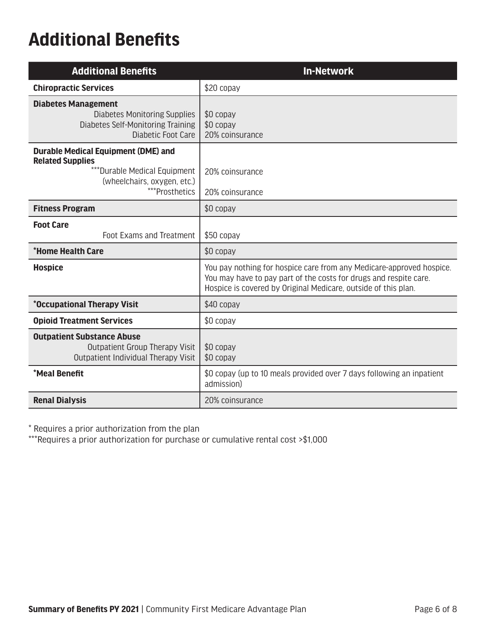# **Additional Benefits**

| <b>Additional Benefits</b>                                                                                                                              | <b>In-Network</b>                                                                                                                                                                                           |
|---------------------------------------------------------------------------------------------------------------------------------------------------------|-------------------------------------------------------------------------------------------------------------------------------------------------------------------------------------------------------------|
| <b>Chiropractic Services</b>                                                                                                                            | \$20 copay                                                                                                                                                                                                  |
| <b>Diabetes Management</b><br><b>Diabetes Monitoring Supplies</b><br>Diabetes Self-Monitoring Training<br>Diabetic Foot Care                            | \$0 copay<br>\$0 copay<br>20% coinsurance                                                                                                                                                                   |
| <b>Durable Medical Equipment (DME) and</b><br><b>Related Supplies</b><br>*** Durable Medical Equipment<br>(wheelchairs, oxygen, etc.)<br>***Prosthetics | 20% coinsurance<br>20% coinsurance                                                                                                                                                                          |
| <b>Fitness Program</b>                                                                                                                                  | \$0 copay                                                                                                                                                                                                   |
| <b>Foot Care</b><br>Foot Exams and Treatment                                                                                                            | \$50 copay                                                                                                                                                                                                  |
| *Home Health Care                                                                                                                                       | $$0$ copay                                                                                                                                                                                                  |
| <b>Hospice</b>                                                                                                                                          | You pay nothing for hospice care from any Medicare-approved hospice.<br>You may have to pay part of the costs for drugs and respite care.<br>Hospice is covered by Original Medicare, outside of this plan. |
| <i>*Occupational Therapy Visit</i>                                                                                                                      | \$40 copay                                                                                                                                                                                                  |
| <b>Opioid Treatment Services</b>                                                                                                                        | \$0 copay                                                                                                                                                                                                   |
| <b>Outpatient Substance Abuse</b><br><b>Outpatient Group Therapy Visit</b><br>Outpatient Individual Therapy Visit                                       | $$0$ copay<br>\$0 copay                                                                                                                                                                                     |
| *Meal Benefit                                                                                                                                           | \$0 copay (up to 10 meals provided over 7 days following an inpatient<br>admission)                                                                                                                         |
| <b>Renal Dialysis</b>                                                                                                                                   | 20% coinsurance                                                                                                                                                                                             |

\* Requires a prior authorization from the plan

\*\*\*Requires a prior authorization for purchase or cumulative rental cost >\$1,000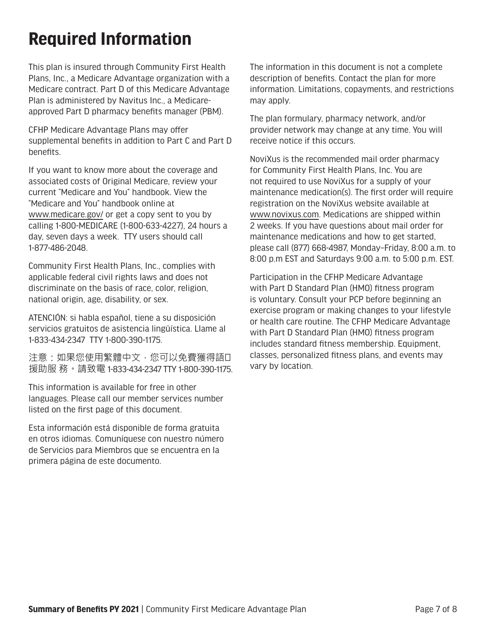# **Required Information**

This plan is insured through Community First Health Plans, Inc., a Medicare Advantage organization with a Medicare contract. Part D of this Medicare Advantage Plan is administered by Navitus Inc., a Medicareapproved Part D pharmacy benefits manager (PBM).

CFHP Medicare Advantage Plans may offer supplemental benefits in addition to Part C and Part D benefits.

If you want to know more about the coverage and associated costs of Original Medicare, review your current "Medicare and You" handbook. View the "Medicare and You" handbook online at [www.medicare.gov/](https://www.medicare.gov/) or get a copy sent to you by calling 1-800-MEDICARE (1-800-633-4227), 24 hours a day, seven days a week. TTY users should call 1-877-486-2048.

Community First Health Plans, Inc., complies with applicable federal civil rights laws and does not discriminate on the basis of race, color, religion, national origin, age, disability, or sex.

ATENCIÓN: si habla español, tiene a su disposición servicios gratuitos de asistencia lingüística. Llame al 1-833-434-2347 TTY 1-800-390-1175.

注意:如果您使用繁體中文,您可以免費獲得語口 援助服 務。請致電 1-833-434-2347 TTY 1-800-390-1175.

This information is available for free in other languages. Please call our member services number listed on the first page of this document.

Esta información está disponible de forma gratuita en otros idiomas. Comuníquese con nuestro número de Servicios para Miembros que se encuentra en la primera página de este documento.

The information in this document is not a complete description of benefits. Contact the plan for more information. Limitations, copayments, and restrictions may apply.

The plan formulary, pharmacy network, and/or provider network may change at any time. You will receive notice if this occurs.

NoviXus is the recommended mail order pharmacy for Community First Health Plans, Inc. You are not required to use NoviXus for a supply of your maintenance medication(s). The first order will require registration on the NoviXus website available at [www.novixus.com.](http://www.novixus.com) Medications are shipped within 2 weeks. If you have questions about mail order for maintenance medications and how to get started, please call (877) 668-4987, Monday–Friday, 8:00 a.m. to 8:00 p.m EST and Saturdays 9:00 a.m. to 5:00 p.m. EST.

Participation in the CFHP Medicare Advantage with Part D Standard Plan (HMO) fitness program is voluntary. Consult your PCP before beginning an exercise program or making changes to your lifestyle or health care routine. The CFHP Medicare Advantage with Part D Standard Plan (HMO) fitness program includes standard fitness membership. Equipment, classes, personalized fitness plans, and events may vary by location.